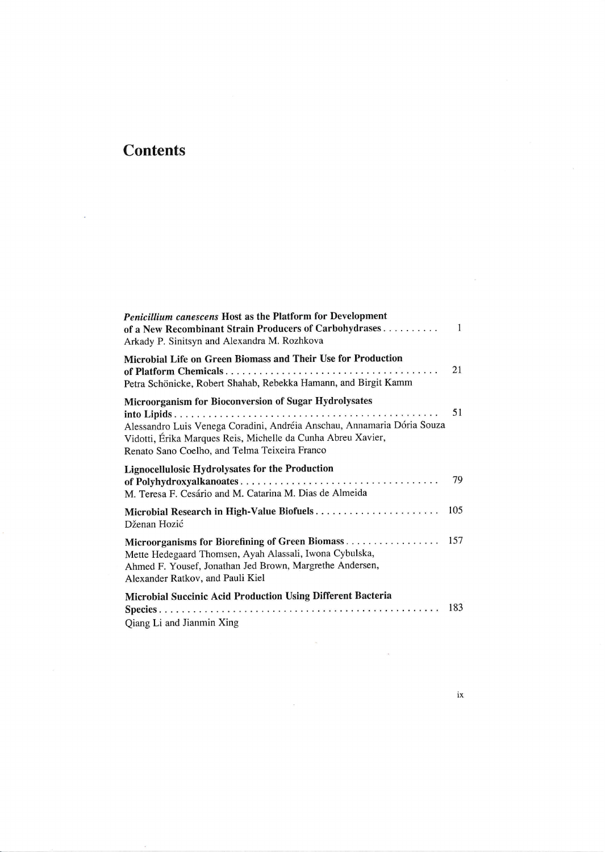## **Contents**

| Penicillium canescens Host as the Platform for Development<br>of a New Recombinant Strain Producers of Carbohydrases<br>Arkady P. Sinitsyn and Alexandra M. Rozhkova                                                                              | $\mathbf{1}$ |
|---------------------------------------------------------------------------------------------------------------------------------------------------------------------------------------------------------------------------------------------------|--------------|
| Microbial Life on Green Biomass and Their Use for Production<br>Petra Schönicke, Robert Shahab, Rebekka Hamann, and Birgit Kamm                                                                                                                   | 21           |
| Microorganism for Bioconversion of Sugar Hydrolysates<br>Alessandro Luis Venega Coradini, Andréia Anschau, Annamaria Dória Souza<br>Vidotti, Érika Marques Reis, Michelle da Cunha Abreu Xavier,<br>Renato Sano Coelho, and Telma Teixeira Franco | 51           |
| Lignocellulosic Hydrolysates for the Production<br>M. Teresa F. Cesário and M. Catarina M. Dias de Almeida                                                                                                                                        | 79           |
| Dženan Hozić                                                                                                                                                                                                                                      | 105          |
| Microorganisms for Biorefining of Green Biomass 157<br>Mette Hedegaard Thomsen, Ayah Alassali, Iwona Cybulska,<br>Ahmed F. Yousef, Jonathan Jed Brown, Margrethe Andersen,<br>Alexander Ratkov, and Pauli Kiel                                    |              |
| Microbial Succinic Acid Production Using Different Bacteria<br>Qiang Li and Jianmin Xing                                                                                                                                                          | 183          |